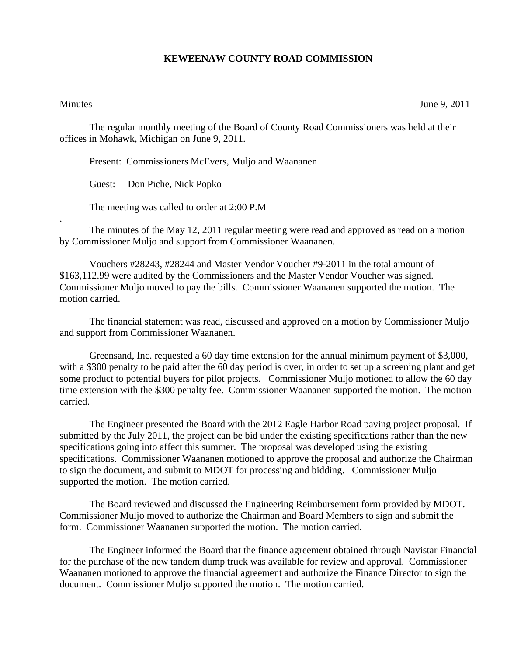## **KEWEENAW COUNTY ROAD COMMISSION**

.

Minutes June 9, 2011

The regular monthly meeting of the Board of County Road Commissioners was held at their offices in Mohawk, Michigan on June 9, 2011.

Present: Commissioners McEvers, Muljo and Waananen

Guest: Don Piche, Nick Popko

The meeting was called to order at 2:00 P.M

 The minutes of the May 12, 2011 regular meeting were read and approved as read on a motion by Commissioner Muljo and support from Commissioner Waananen.

 Vouchers #28243, #28244 and Master Vendor Voucher #9-2011 in the total amount of \$163,112.99 were audited by the Commissioners and the Master Vendor Voucher was signed. Commissioner Muljo moved to pay the bills. Commissioner Waananen supported the motion. The motion carried.

 The financial statement was read, discussed and approved on a motion by Commissioner Muljo and support from Commissioner Waananen.

 Greensand, Inc. requested a 60 day time extension for the annual minimum payment of \$3,000, with a \$300 penalty to be paid after the 60 day period is over, in order to set up a screening plant and get some product to potential buyers for pilot projects. Commissioner Muljo motioned to allow the 60 day time extension with the \$300 penalty fee. Commissioner Waananen supported the motion. The motion carried.

 The Engineer presented the Board with the 2012 Eagle Harbor Road paving project proposal. If submitted by the July 2011, the project can be bid under the existing specifications rather than the new specifications going into affect this summer. The proposal was developed using the existing specifications. Commissioner Waananen motioned to approve the proposal and authorize the Chairman to sign the document, and submit to MDOT for processing and bidding. Commissioner Muljo supported the motion. The motion carried.

 The Board reviewed and discussed the Engineering Reimbursement form provided by MDOT. Commissioner Muljo moved to authorize the Chairman and Board Members to sign and submit the form. Commissioner Waananen supported the motion. The motion carried.

 The Engineer informed the Board that the finance agreement obtained through Navistar Financial for the purchase of the new tandem dump truck was available for review and approval. Commissioner Waananen motioned to approve the financial agreement and authorize the Finance Director to sign the document. Commissioner Muljo supported the motion. The motion carried.